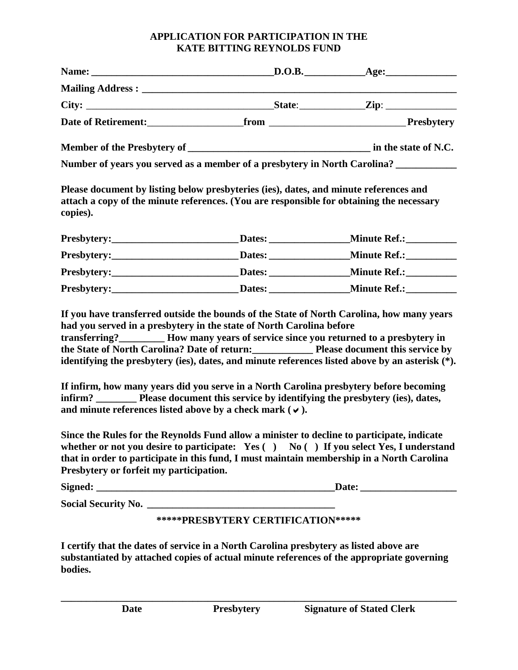## **APPLICATION FOR PARTICIPATION IN THE KATE BITTING REYNOLDS FUND**

|                                         |                                                                      | Number of years you served as a member of a presbytery in North Carolina? __________                                                                                                                                                                                                                                                                                                                                                                                                                                                                             |
|-----------------------------------------|----------------------------------------------------------------------|------------------------------------------------------------------------------------------------------------------------------------------------------------------------------------------------------------------------------------------------------------------------------------------------------------------------------------------------------------------------------------------------------------------------------------------------------------------------------------------------------------------------------------------------------------------|
| copies).                                |                                                                      | Please document by listing below presbyteries (ies), dates, and minute references and<br>attach a copy of the minute references. (You are responsible for obtaining the necessary                                                                                                                                                                                                                                                                                                                                                                                |
|                                         |                                                                      |                                                                                                                                                                                                                                                                                                                                                                                                                                                                                                                                                                  |
|                                         |                                                                      | Presbytery:_________________________________Dates:________________________Minute Ref.:_____________                                                                                                                                                                                                                                                                                                                                                                                                                                                              |
|                                         |                                                                      |                                                                                                                                                                                                                                                                                                                                                                                                                                                                                                                                                                  |
|                                         |                                                                      |                                                                                                                                                                                                                                                                                                                                                                                                                                                                                                                                                                  |
|                                         | had you served in a presbytery in the state of North Carolina before | If you have transferred outside the bounds of the State of North Carolina, how many years<br>transferring?__________ How many years of service since you returned to a presbytery in<br>the State of North Carolina? Date of return: Please document this service by<br>identifying the presbytery (ies), dates, and minute references listed above by an asterisk (*).<br>If infirm, how many years did you serve in a North Carolina presbytery before becoming<br>infirm? __________ Please document this service by identifying the presbytery (ies), dates, |
|                                         | and minute references listed above by a check mark ( $\checkmark$ ). |                                                                                                                                                                                                                                                                                                                                                                                                                                                                                                                                                                  |
| Presbytery or forfeit my participation. |                                                                      | Since the Rules for the Reynolds Fund allow a minister to decline to participate, indicate<br>whether or not you desire to participate: $Yes( ) No( ) If you select Yes, I understand$<br>that in order to participate in this fund, I must maintain membership in a North Carolina                                                                                                                                                                                                                                                                              |
|                                         |                                                                      |                                                                                                                                                                                                                                                                                                                                                                                                                                                                                                                                                                  |
|                                         |                                                                      |                                                                                                                                                                                                                                                                                                                                                                                                                                                                                                                                                                  |
|                                         | *****PRESBYTERY CERTIFICATION*****                                   |                                                                                                                                                                                                                                                                                                                                                                                                                                                                                                                                                                  |
|                                         |                                                                      |                                                                                                                                                                                                                                                                                                                                                                                                                                                                                                                                                                  |

**I certify that the dates of service in a North Carolina presbytery as listed above are substantiated by attached copies of actual minute references of the appropriate governing bodies.** 

**\_\_\_\_\_\_\_\_\_\_\_\_\_\_\_\_\_\_\_\_\_\_\_\_\_\_\_\_\_\_\_\_\_\_\_\_\_\_\_\_\_\_\_\_\_\_\_\_\_\_\_\_\_\_\_\_\_\_\_\_\_\_\_\_\_\_\_\_\_\_\_\_\_\_\_\_\_\_**